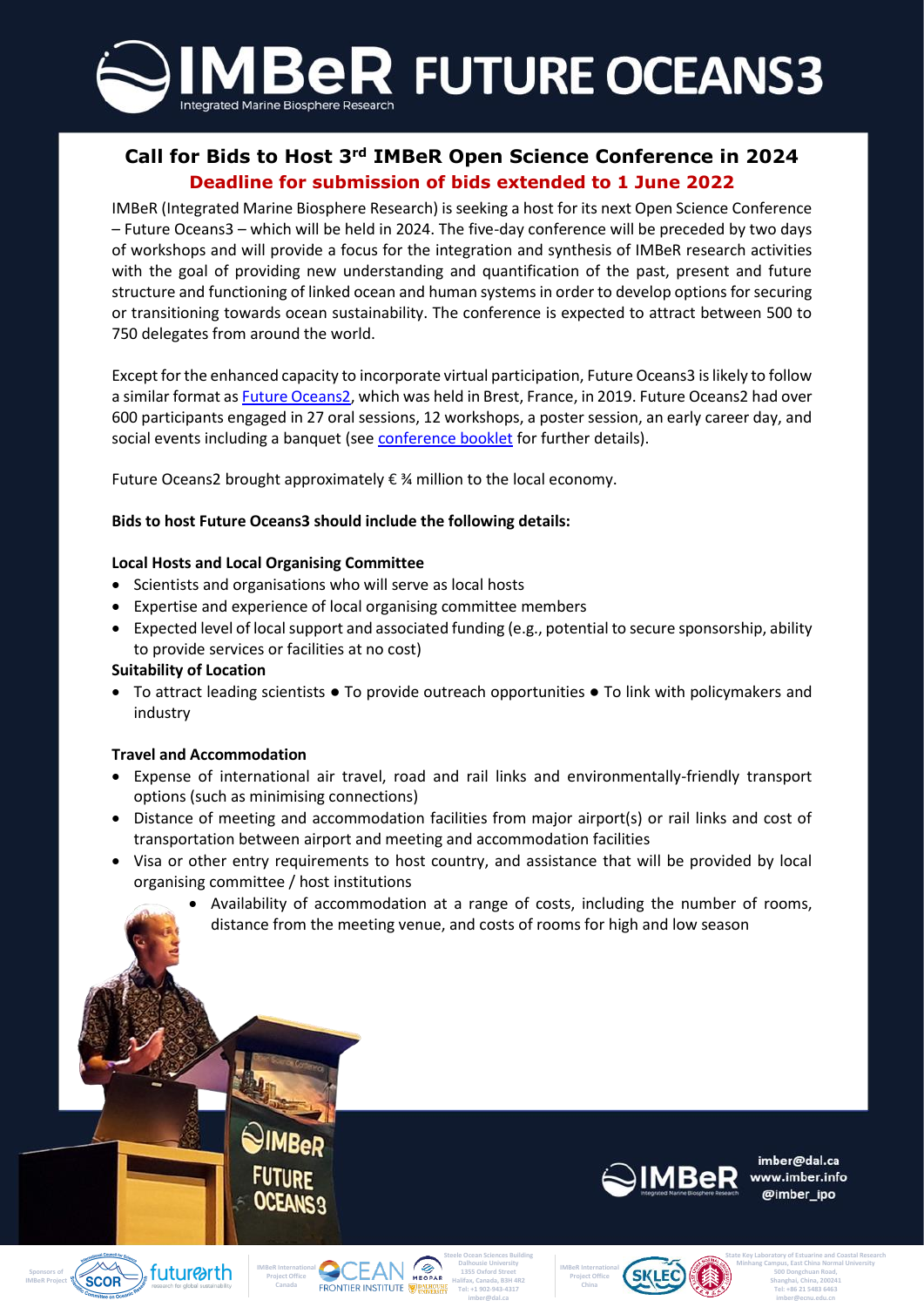

## **Deadline for submission of bids extended to 1 June 2022 Call for Bids to Host 3rd IMBeR Open Science Conference in 2024**

IMBeR (Integrated Marine Biosphere Research) is seeking a host for its next Open Science Conference – Future Oceans3 – which will be held in 2024. The five-day conference will be preceded by two days of workshops and will provide a focus for the integration and synthesis of IMBeR research activities with the goal of providing new understanding and quantification of the past, present and future structure and functioning of linked ocean and human systems in order to develop options for securing or transitioning towards ocean sustainability. The conference is expected to attract between 500 to 750 delegates from around the world.

Except for the enhanced capacity to incorporate virtual participation, Future Oceans3 is likely to follow a similar format as [Future Oceans2,](https://imber.info/event/2019-imber-open-science-conference/) which was held in Brest, France, in 2019. Future Oceans2 had over 600 participants engaged in 27 oral sessions, 12 workshops, a poster session, an early career day, and social events including a banquet (se[e conference booklet](https://imber.info/wp-content/uploads/2022/02/Conference-Booklet_IMBeR-OSC-FO2-1-443.pdf) for further details).

Future Oceans2 brought approximately € ¾ million to the local economy.

### **Bids to host Future Oceans3 should include the following details:**

#### **Local Hosts and Local Organising Committee**

- Scientists and organisations who will serve as local hosts
- Expertise and experience of local organising committee members
- Expected level of local support and associated funding (e.g., potential to secure sponsorship, ability to provide services or facilities at no cost)

#### **Suitability of Location**

• To attract leading scientists ● To provide outreach opportunities ● To link with policymakers and industry

#### **Travel and Accommodation**

- Expense of international air travel, road and rail links and environmentally-friendly transport options (such as minimising connections)
- Distance of meeting and accommodation facilities from major airport(s) or rail links and cost of transportation between airport and meeting and accommodation facilities
- Visa or other entry requirements to host country, and assistance that will be provided by local organising committee / host institutions
	- Availability of accommodation at a range of costs, including the number of rooms, distance from the meeting venue, and costs of rooms for high and low season



imber@dal.ca www.imber.info @imber ipo

**State Key Laboratory of Estuarine and Coastal Research Minhang Campus, East China Normal University 500 Dongchuan Road, Shanghai, China, 200241 Tel: +86 21 5483 6463 imber@ecnu.edu.cn**









**Steele Ocean Sciences Building Dalhousie University 1355 Oxford Street Halifax, Canada, B3H 4R2 Tel: +1 902-943-4317** 

**imber@dal.ca**